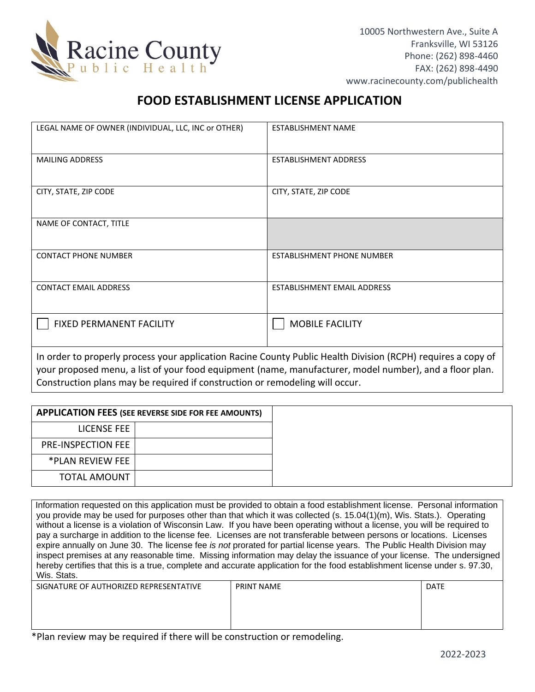

## **FOOD ESTABLISHMENT LICENSE APPLICATION**

| LEGAL NAME OF OWNER (INDIVIDUAL, LLC, INC or OTHER)                                                          | <b>ESTABLISHMENT NAME</b>         |  |
|--------------------------------------------------------------------------------------------------------------|-----------------------------------|--|
| <b>MAILING ADDRESS</b>                                                                                       | <b>ESTABLISHMENT ADDRESS</b>      |  |
| CITY, STATE, ZIP CODE                                                                                        | CITY, STATE, ZIP CODE             |  |
| NAME OF CONTACT, TITLE                                                                                       |                                   |  |
| <b>CONTACT PHONE NUMBER</b>                                                                                  | <b>ESTABLISHMENT PHONE NUMBER</b> |  |
| <b>CONTACT EMAIL ADDRESS</b>                                                                                 | ESTABLISHMENT EMAIL ADDRESS       |  |
| <b>FIXED PERMANENT FACILITY</b>                                                                              | <b>MOBILE FACILITY</b>            |  |
| In order to properly process your application Racine County Public Health Division (RCPH) requires a copy of |                                   |  |

your proposed menu, a list of your food equipment (name, manufacturer, model number), and a floor plan. Construction plans may be required if construction or remodeling will occur.

|                           | <b>APPLICATION FEES (SEE REVERSE SIDE FOR FEE AMOUNTS)</b> |
|---------------------------|------------------------------------------------------------|
| LICENSE FEE               |                                                            |
| <b>PRE-INSPECTION FEE</b> |                                                            |
| *PLAN REVIEW FEE          |                                                            |
| TOTAL AMOUNT              |                                                            |

Information requested on this application must be provided to obtain a food establishment license. Personal information you provide may be used for purposes other than that which it was collected (s. 15.04(1)(m), Wis. Stats.). Operating without a license is a violation of Wisconsin Law. If you have been operating without a license, you will be required to pay a surcharge in addition to the license fee. Licenses are not transferable between persons or locations. Licenses expire annually on June 30. The license fee *is not* prorated for partial license years. The Public Health Division may inspect premises at any reasonable time. Missing information may delay the issuance of your license. The undersigned hereby certifies that this is a true, complete and accurate application for the food establishment license under s. 97.30, Wis. Stats.

| SIGNATURE OF AUTHORIZED REPRESENTATIVE | <b>PRINT NAME</b> | <b>DATE</b> |
|----------------------------------------|-------------------|-------------|
|                                        |                   |             |
|                                        |                   |             |
|                                        |                   |             |

\*Plan review may be required if there will be construction or remodeling.